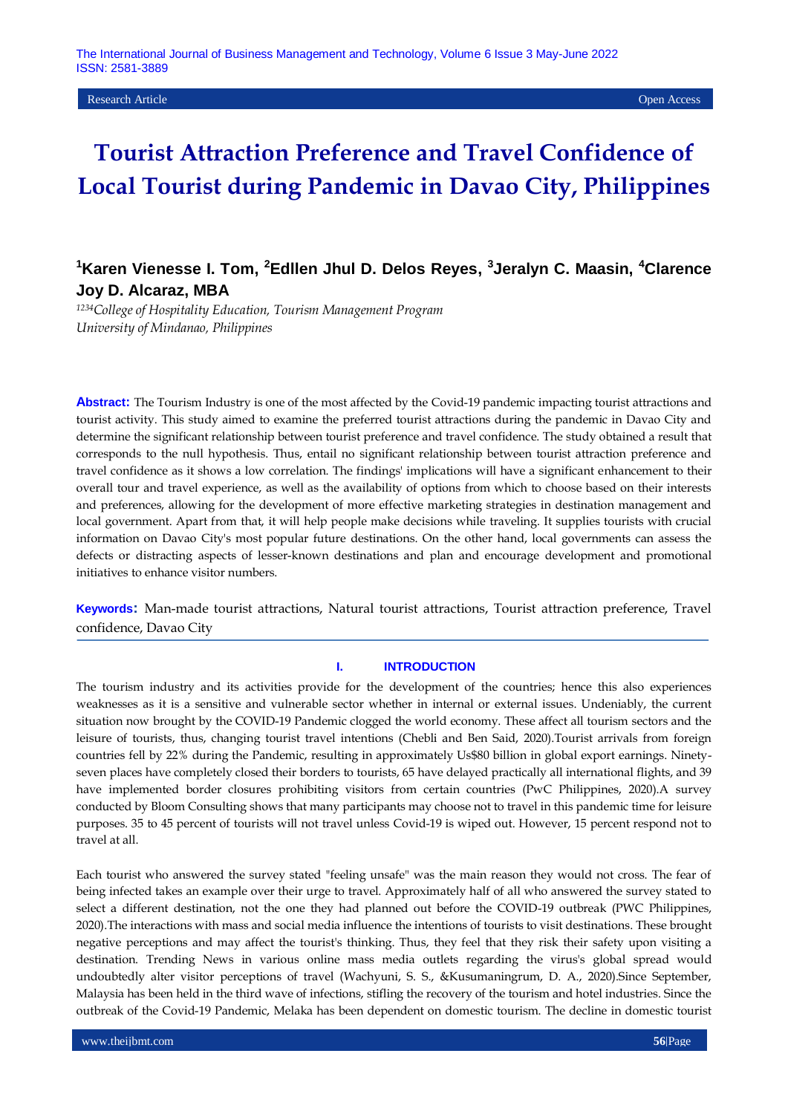Research Article Open Access

# **Tourist Attraction Preference and Travel Confidence of Local Tourist during Pandemic in Davao City, Philippines**

## **<sup>1</sup>Karen Vienesse I. Tom, <sup>2</sup>Edllen Jhul D. Delos Reyes, 3 Jeralyn C. Maasin, <sup>4</sup>Clarence Joy D. Alcaraz, MBA**

*<sup>1234</sup>College of Hospitality Education, Tourism Management Program University of Mindanao, Philippines* 

**Abstract:** The Tourism Industry is one of the most affected by the Covid-19 pandemic impacting tourist attractions and tourist activity. This study aimed to examine the preferred tourist attractions during the pandemic in Davao City and determine the significant relationship between tourist preference and travel confidence. The study obtained a result that corresponds to the null hypothesis. Thus, entail no significant relationship between tourist attraction preference and travel confidence as it shows a low correlation. The findings' implications will have a significant enhancement to their overall tour and travel experience, as well as the availability of options from which to choose based on their interests and preferences, allowing for the development of more effective marketing strategies in destination management and local government. Apart from that, it will help people make decisions while traveling. It supplies tourists with crucial information on Davao City's most popular future destinations. On the other hand, local governments can assess the defects or distracting aspects of lesser-known destinations and plan and encourage development and promotional initiatives to enhance visitor numbers.

**Keywords:** Man-made tourist attractions, Natural tourist attractions, Tourist attraction preference, Travel confidence, Davao City

### **I. INTRODUCTION**

The tourism industry and its activities provide for the development of the countries; hence this also experiences weaknesses as it is a sensitive and vulnerable sector whether in internal or external issues. Undeniably, the current situation now brought by the COVID-19 Pandemic clogged the world economy. These affect all tourism sectors and the leisure of tourists, thus, changing tourist travel intentions (Chebli and Ben Said, 2020).Tourist arrivals from foreign countries fell by 22% during the Pandemic, resulting in approximately Us\$80 billion in global export earnings. Ninetyseven places have completely closed their borders to tourists, 65 have delayed practically all international flights, and 39 have implemented border closures prohibiting visitors from certain countries (PwC Philippines, 2020).A survey conducted by Bloom Consulting shows that many participants may choose not to travel in this pandemic time for leisure purposes. 35 to 45 percent of tourists will not travel unless Covid-19 is wiped out. However, 15 percent respond not to travel at all.

Each tourist who answered the survey stated "feeling unsafe" was the main reason they would not cross. The fear of being infected takes an example over their urge to travel. Approximately half of all who answered the survey stated to select a different destination, not the one they had planned out before the COVID-19 outbreak (PWC Philippines, 2020).The interactions with mass and social media influence the intentions of tourists to visit destinations. These brought negative perceptions and may affect the tourist's thinking. Thus, they feel that they risk their safety upon visiting a destination. Trending News in various online mass media outlets regarding the virus's global spread would undoubtedly alter visitor perceptions of travel (Wachyuni, S. S., &Kusumaningrum, D. A., 2020).Since September, Malaysia has been held in the third wave of infections, stifling the recovery of the tourism and hotel industries. Since the outbreak of the Covid-19 Pandemic, Melaka has been dependent on domestic tourism. The decline in domestic tourist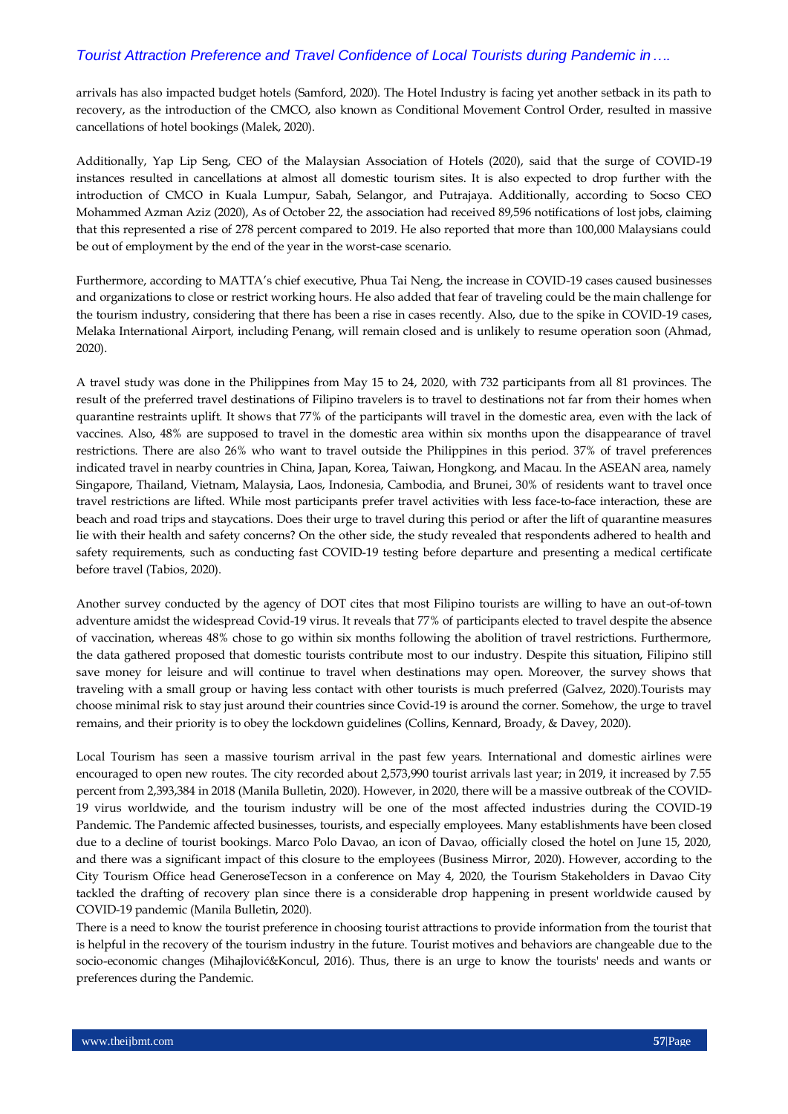arrivals has also impacted budget hotels (Samford, 2020). The Hotel Industry is facing yet another setback in its path to recovery, as the introduction of the CMCO, also known as Conditional Movement Control Order, resulted in massive cancellations of hotel bookings (Malek, 2020).

Additionally, Yap Lip Seng, CEO of the Malaysian Association of Hotels (2020), said that the surge of COVID-19 instances resulted in cancellations at almost all domestic tourism sites. It is also expected to drop further with the introduction of CMCO in Kuala Lumpur, Sabah, Selangor, and Putrajaya. Additionally, according to Socso CEO Mohammed Azman Aziz (2020), As of October 22, the association had received 89,596 notifications of lost jobs, claiming that this represented a rise of 278 percent compared to 2019. He also reported that more than 100,000 Malaysians could be out of employment by the end of the year in the worst-case scenario.

Furthermore, according to MATTA's chief executive, Phua Tai Neng, the increase in COVID-19 cases caused businesses and organizations to close or restrict working hours. He also added that fear of traveling could be the main challenge for the tourism industry, considering that there has been a rise in cases recently. Also, due to the spike in COVID-19 cases, Melaka International Airport, including Penang, will remain closed and is unlikely to resume operation soon (Ahmad, 2020).

A travel study was done in the Philippines from May 15 to 24, 2020, with 732 participants from all 81 provinces. The result of the preferred travel destinations of Filipino travelers is to travel to destinations not far from their homes when quarantine restraints uplift. It shows that 77% of the participants will travel in the domestic area, even with the lack of vaccines. Also, 48% are supposed to travel in the domestic area within six months upon the disappearance of travel restrictions. There are also 26% who want to travel outside the Philippines in this period. 37% of travel preferences indicated travel in nearby countries in China, Japan, Korea, Taiwan, Hongkong, and Macau. In the ASEAN area, namely Singapore, Thailand, Vietnam, Malaysia, Laos, Indonesia, Cambodia, and Brunei, 30% of residents want to travel once travel restrictions are lifted. While most participants prefer travel activities with less face-to-face interaction, these are beach and road trips and staycations. Does their urge to travel during this period or after the lift of quarantine measures lie with their health and safety concerns? On the other side, the study revealed that respondents adhered to health and safety requirements, such as conducting fast COVID-19 testing before departure and presenting a medical certificate before travel (Tabios, 2020).

Another survey conducted by the agency of DOT cites that most Filipino tourists are willing to have an out-of-town adventure amidst the widespread Covid-19 virus. It reveals that 77% of participants elected to travel despite the absence of vaccination, whereas 48% chose to go within six months following the abolition of travel restrictions. Furthermore, the data gathered proposed that domestic tourists contribute most to our industry. Despite this situation, Filipino still save money for leisure and will continue to travel when destinations may open. Moreover, the survey shows that traveling with a small group or having less contact with other tourists is much preferred (Galvez, 2020).Tourists may choose minimal risk to stay just around their countries since Covid-19 is around the corner. Somehow, the urge to travel remains, and their priority is to obey the lockdown guidelines (Collins, Kennard, Broady, & Davey, 2020).

Local Tourism has seen a massive tourism arrival in the past few years. International and domestic airlines were encouraged to open new routes. The city recorded about 2,573,990 tourist arrivals last year; in 2019, it increased by 7.55 percent from 2,393,384 in 2018 (Manila Bulletin, 2020). However, in 2020, there will be a massive outbreak of the COVID-19 virus worldwide, and the tourism industry will be one of the most affected industries during the COVID-19 Pandemic. The Pandemic affected businesses, tourists, and especially employees. Many establishments have been closed due to a decline of tourist bookings. Marco Polo Davao, an icon of Davao, officially closed the hotel on June 15, 2020, and there was a significant impact of this closure to the employees (Business Mirror, 2020). However, according to the City Tourism Office head GeneroseTecson in a conference on May 4, 2020, the Tourism Stakeholders in Davao City tackled the drafting of recovery plan since there is a considerable drop happening in present worldwide caused by COVID-19 pandemic (Manila Bulletin, 2020).

There is a need to know the tourist preference in choosing tourist attractions to provide information from the tourist that is helpful in the recovery of the tourism industry in the future. Tourist motives and behaviors are changeable due to the socio-economic changes (Mihajlović&Koncul, 2016). Thus, there is an urge to know the tourists' needs and wants or preferences during the Pandemic.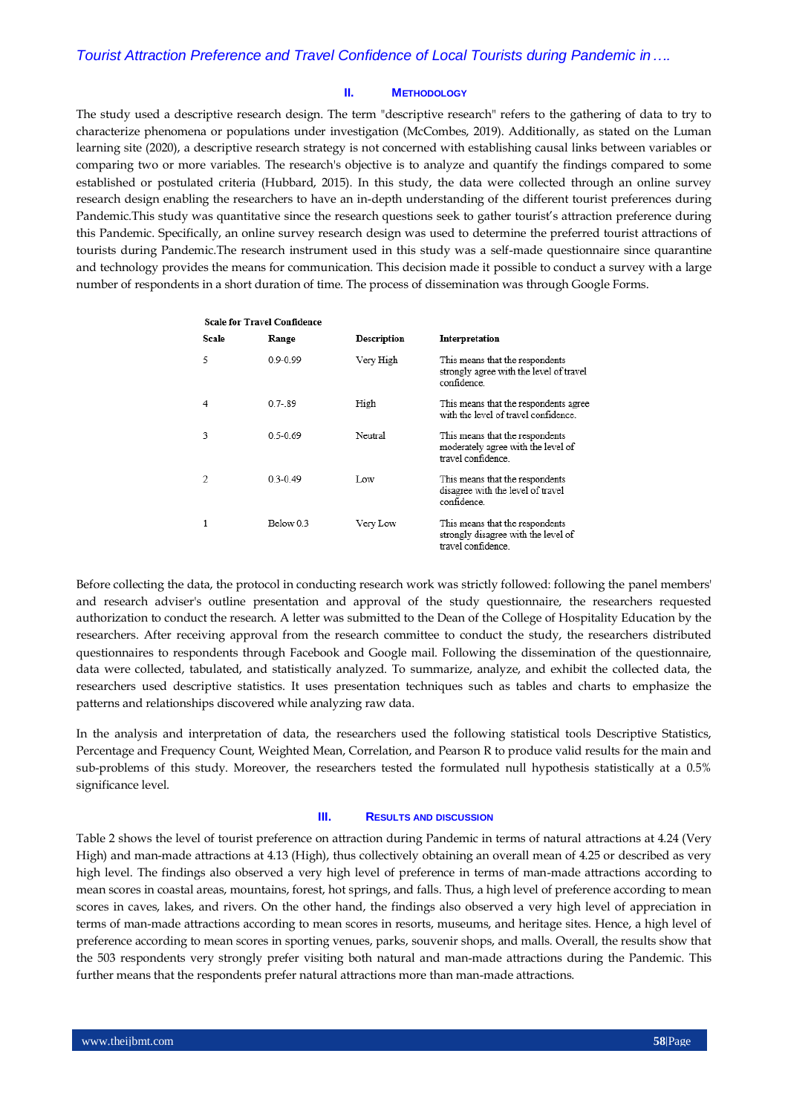### **II. METHODOLOGY**

The study used a descriptive research design. The term "descriptive research" refers to the gathering of data to try to characterize phenomena or populations under investigation (McCombes, 2019). Additionally, as stated on the Luman learning site (2020), a descriptive research strategy is not concerned with establishing causal links between variables or comparing two or more variables. The research's objective is to analyze and quantify the findings compared to some established or postulated criteria (Hubbard, 2015). In this study, the data were collected through an online survey research design enabling the researchers to have an in-depth understanding of the different tourist preferences during Pandemic.This study was quantitative since the research questions seek to gather tourist's attraction preference during this Pandemic. Specifically, an online survey research design was used to determine the preferred tourist attractions of tourists during Pandemic.The research instrument used in this study was a self-made questionnaire since quarantine and technology provides the means for communication. This decision made it possible to conduct a survey with a large number of respondents in a short duration of time. The process of dissemination was through Google Forms.

|   |       | <b>Scale for Travel Confidence</b> |                    |                                                                                              |
|---|-------|------------------------------------|--------------------|----------------------------------------------------------------------------------------------|
|   | Scale | Range                              | <b>Description</b> | Interpretation                                                                               |
| 5 |       | $0.9 - 0.99$                       | Very High          | This means that the respondents<br>strongly agree with the level of travel<br>confidence.    |
| 4 |       | $0.7 - 89$                         | High               | This means that the respondents agree<br>with the level of travel confidence.                |
| 3 |       | $0.5 - 0.69$                       | Neutral            | This means that the respondents<br>moderately agree with the level of<br>travel confidence.  |
| 2 |       | $0.3 - 0.49$                       | Low                | This means that the respondents<br>disagree with the level of travel<br>confidence.          |
|   |       | Below 0.3                          | Very Low           | This means that the respondents<br>strongly disagree with the level of<br>travel confidence. |

Before collecting the data, the protocol in conducting research work was strictly followed: following the panel members' and research adviser's outline presentation and approval of the study questionnaire, the researchers requested authorization to conduct the research. A letter was submitted to the Dean of the College of Hospitality Education by the researchers. After receiving approval from the research committee to conduct the study, the researchers distributed questionnaires to respondents through Facebook and Google mail. Following the dissemination of the questionnaire, data were collected, tabulated, and statistically analyzed. To summarize, analyze, and exhibit the collected data, the researchers used descriptive statistics. It uses presentation techniques such as tables and charts to emphasize the patterns and relationships discovered while analyzing raw data.

In the analysis and interpretation of data, the researchers used the following statistical tools Descriptive Statistics, Percentage and Frequency Count, Weighted Mean, Correlation, and Pearson R to produce valid results for the main and sub-problems of this study. Moreover, the researchers tested the formulated null hypothesis statistically at a 0.5% significance level.

#### **III. RESULTS AND DISCUSSION**

Table 2 shows the level of tourist preference on attraction during Pandemic in terms of natural attractions at 4.24 (Very High) and man-made attractions at 4.13 (High), thus collectively obtaining an overall mean of 4.25 or described as very high level. The findings also observed a very high level of preference in terms of man-made attractions according to mean scores in coastal areas, mountains, forest, hot springs, and falls. Thus, a high level of preference according to mean scores in caves, lakes, and rivers. On the other hand, the findings also observed a very high level of appreciation in terms of man-made attractions according to mean scores in resorts, museums, and heritage sites. Hence, a high level of preference according to mean scores in sporting venues, parks, souvenir shops, and malls. Overall, the results show that the 503 respondents very strongly prefer visiting both natural and man-made attractions during the Pandemic. This further means that the respondents prefer natural attractions more than man-made attractions.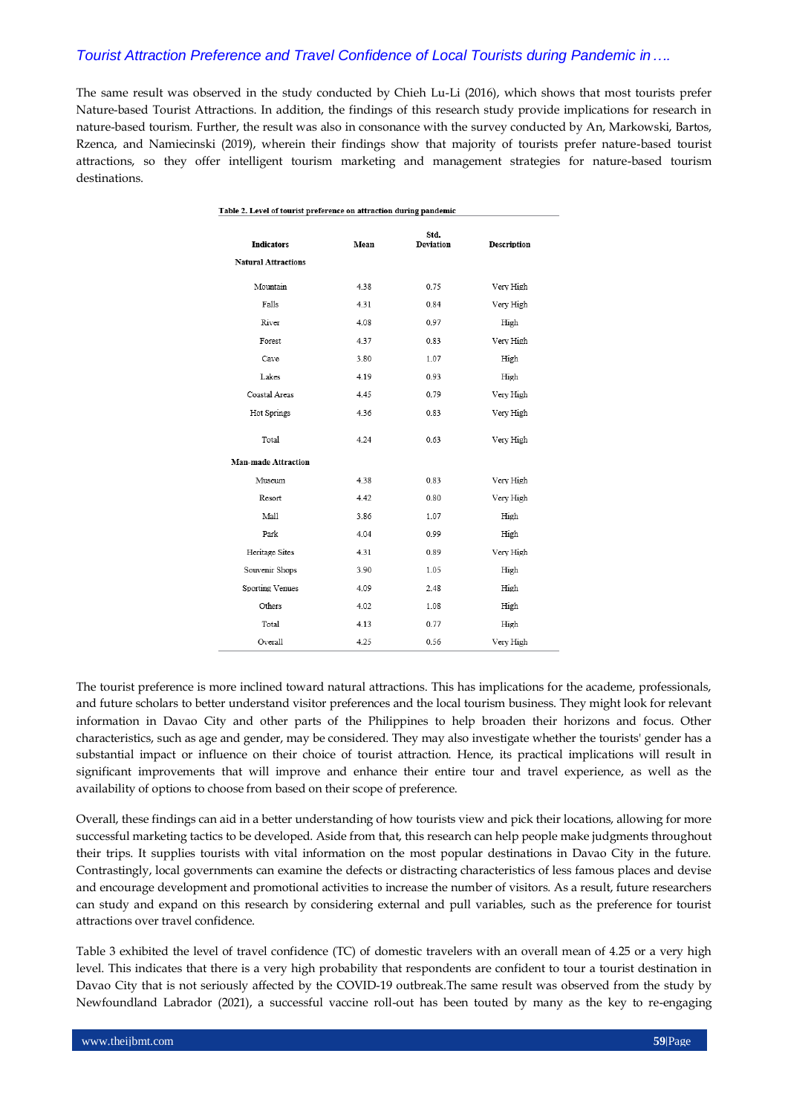The same result was observed in the study conducted by Chieh Lu-Li (2016), which shows that most tourists prefer Nature-based Tourist Attractions. In addition, the findings of this research study provide implications for research in nature-based tourism. Further, the result was also in consonance with the survey conducted by An, Markowski, Bartos, Rzenca, and Namiecinski (2019), wherein their findings show that majority of tourists prefer nature-based tourist attractions, so they offer intelligent tourism marketing and management strategies for nature-based tourism destinations.

| Table 2. Level of tourist preference on attraction during pandemic |      |                          |                    |
|--------------------------------------------------------------------|------|--------------------------|--------------------|
| <b>Indicators</b>                                                  | Mean | Std.<br><b>Deviation</b> | <b>Description</b> |
| <b>Natural Attractions</b>                                         |      |                          |                    |
| Mountain                                                           | 4.38 | 0.75                     | Very High          |
| Falls                                                              | 4.31 | 0.84                     | Very High          |
| River                                                              | 4.08 | 0.97                     | High               |
| Forest                                                             | 4.37 | 0.83                     | Very High          |
| Cave                                                               | 3.80 | 1.07                     | High               |
| Lakes                                                              | 4.19 | 0.93                     | High               |
| Coastal Areas                                                      | 4.45 | 0.79                     | Very High          |
| Hot Springs                                                        | 4.36 | 0.83                     | Very High          |
| Total                                                              | 4.24 | 0.63                     | Very High          |
| <b>Man-made Attraction</b>                                         |      |                          |                    |
| Museum                                                             | 4.38 | 0.83                     | Very High          |
| Resort                                                             | 4.42 | 0.80                     | Very High          |
| Mall                                                               | 3.86 | 1.07                     | High               |
| Park                                                               | 4.04 | 0.99                     | High               |
| Heritage Sites                                                     | 4.31 | 0.89                     | Very High          |
| Souvenir Shops                                                     | 3.90 | 1.05                     | High               |
| Sporting Venues                                                    | 4.09 | 2.48                     | High               |
| Others                                                             | 4.02 | 1.08                     | High               |
| Total                                                              | 4.13 | 0.77                     | High               |
| Overall                                                            | 4.25 | 0.56                     | Very High          |
|                                                                    |      |                          |                    |

The tourist preference is more inclined toward natural attractions. This has implications for the academe, professionals, and future scholars to better understand visitor preferences and the local tourism business. They might look for relevant information in Davao City and other parts of the Philippines to help broaden their horizons and focus. Other characteristics, such as age and gender, may be considered. They may also investigate whether the tourists' gender has a substantial impact or influence on their choice of tourist attraction. Hence, its practical implications will result in significant improvements that will improve and enhance their entire tour and travel experience, as well as the availability of options to choose from based on their scope of preference.

Overall, these findings can aid in a better understanding of how tourists view and pick their locations, allowing for more successful marketing tactics to be developed. Aside from that, this research can help people make judgments throughout their trips. It supplies tourists with vital information on the most popular destinations in Davao City in the future. Contrastingly, local governments can examine the defects or distracting characteristics of less famous places and devise and encourage development and promotional activities to increase the number of visitors. As a result, future researchers can study and expand on this research by considering external and pull variables, such as the preference for tourist attractions over travel confidence.

Table 3 exhibited the level of travel confidence (TC) of domestic travelers with an overall mean of 4.25 or a very high level. This indicates that there is a very high probability that respondents are confident to tour a tourist destination in Davao City that is not seriously affected by the COVID-19 outbreak.The same result was observed from the study by Newfoundland Labrador (2021), a successful vaccine roll-out has been touted by many as the key to re-engaging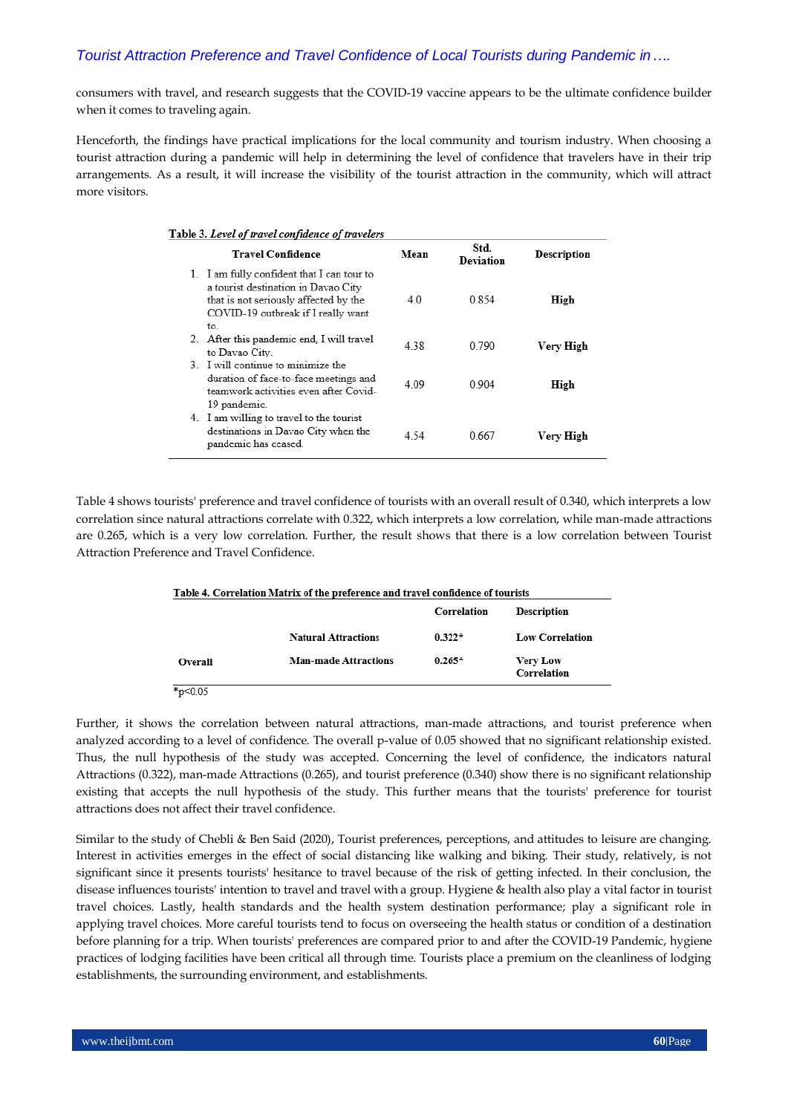consumers with travel, and research suggests that the COVID-19 vaccine appears to be the ultimate confidence builder when it comes to traveling again.

Henceforth, the findings have practical implications for the local community and tourism industry. When choosing a tourist attraction during a pandemic will help in determining the level of confidence that travelers have in their trip arrangements. As a result, it will increase the visibility of the tourist attraction in the community, which will attract more visitors.

#### Table 3. Level of travel confidence of travelers

| <b>Travel Confidence</b>                                                                                                                                         | Mean  | Std.<br><b>Deviation</b> | <b>Description</b> |
|------------------------------------------------------------------------------------------------------------------------------------------------------------------|-------|--------------------------|--------------------|
| 1. I am fully confident that I can tour to<br>a tourist destination in Davao City<br>that is not seriously affected by the<br>COVID-19 outbreak if I really want | 4.0   | 0.854                    | High               |
| to.<br>2. After this pandemic end, I will travel<br>to Davao City.                                                                                               | 4.38  | 0.790                    | Verv High          |
| 3. I will continue to minimize the<br>duration of face-to-face meetings and<br>teamwork activities even after Covid-<br>19 pandemic.                             | 4 0 9 | 0 904                    | High               |
| 4. I am willing to travel to the tourist<br>destinations in Davao City when the<br>pandemic has ceased.                                                          | 4.54  | 0.667                    | Very High          |

Table 4 shows tourists' preference and travel confidence of tourists with an overall result of 0.340, which interprets a low correlation since natural attractions correlate with 0.322, which interprets a low correlation, while man-made attractions are 0.265, which is a very low correlation. Further, the result shows that there is a low correlation between Tourist Attraction Preference and Travel Confidence.

|         | Table 4. Correlation Matrix of the preference and travel confidence of tourists |             |                                |
|---------|---------------------------------------------------------------------------------|-------------|--------------------------------|
|         |                                                                                 | Correlation | <b>Description</b>             |
|         | <b>Natural Attractions</b>                                                      | $0.322*$    | <b>Low Correlation</b>         |
| Overall | <b>Man-made Attractions</b>                                                     | $0.265*$    | <b>Very Low</b><br>Correlation |

°p≤0.05

Further, it shows the correlation between natural attractions, man-made attractions, and tourist preference when analyzed according to a level of confidence. The overall p-value of 0.05 showed that no significant relationship existed. Thus, the null hypothesis of the study was accepted. Concerning the level of confidence, the indicators natural Attractions (0.322), man-made Attractions (0.265), and tourist preference (0.340) show there is no significant relationship existing that accepts the null hypothesis of the study. This further means that the tourists' preference for tourist attractions does not affect their travel confidence.

Similar to the study of Chebli & Ben Said (2020), Tourist preferences, perceptions, and attitudes to leisure are changing. Interest in activities emerges in the effect of social distancing like walking and biking. Their study, relatively, is not significant since it presents tourists' hesitance to travel because of the risk of getting infected. In their conclusion, the disease influences tourists' intention to travel and travel with a group. Hygiene & health also play a vital factor in tourist travel choices. Lastly, health standards and the health system destination performance; play a significant role in applying travel choices. More careful tourists tend to focus on overseeing the health status or condition of a destination before planning for a trip. When tourists' preferences are compared prior to and after the COVID-19 Pandemic, hygiene practices of lodging facilities have been critical all through time. Tourists place a premium on the cleanliness of lodging establishments, the surrounding environment, and establishments.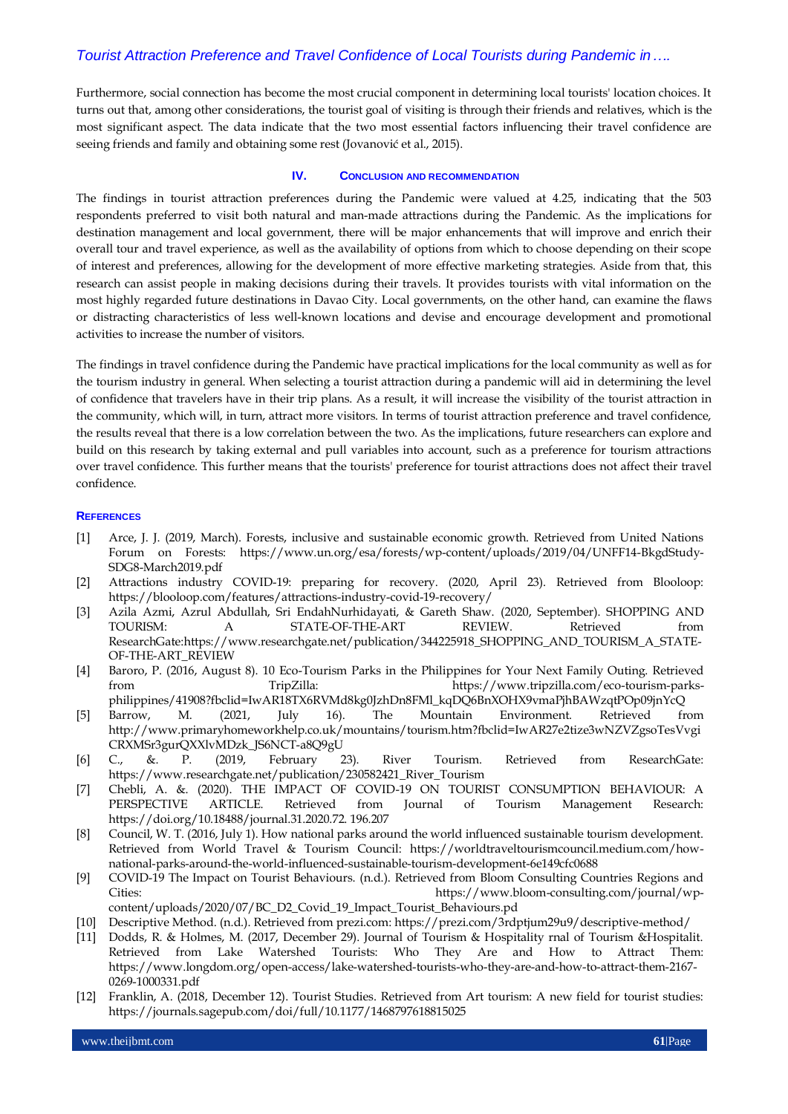Furthermore, social connection has become the most crucial component in determining local tourists' location choices. It turns out that, among other considerations, the tourist goal of visiting is through their friends and relatives, which is the most significant aspect. The data indicate that the two most essential factors influencing their travel confidence are seeing friends and family and obtaining some rest (Jovanović et al., 2015).

### **IV. CONCLUSION AND RECOMMENDATION**

The findings in tourist attraction preferences during the Pandemic were valued at 4.25, indicating that the 503 respondents preferred to visit both natural and man-made attractions during the Pandemic. As the implications for destination management and local government, there will be major enhancements that will improve and enrich their overall tour and travel experience, as well as the availability of options from which to choose depending on their scope of interest and preferences, allowing for the development of more effective marketing strategies. Aside from that, this research can assist people in making decisions during their travels. It provides tourists with vital information on the most highly regarded future destinations in Davao City. Local governments, on the other hand, can examine the flaws or distracting characteristics of less well-known locations and devise and encourage development and promotional activities to increase the number of visitors.

The findings in travel confidence during the Pandemic have practical implications for the local community as well as for the tourism industry in general. When selecting a tourist attraction during a pandemic will aid in determining the level of confidence that travelers have in their trip plans. As a result, it will increase the visibility of the tourist attraction in the community, which will, in turn, attract more visitors. In terms of tourist attraction preference and travel confidence, the results reveal that there is a low correlation between the two. As the implications, future researchers can explore and build on this research by taking external and pull variables into account, such as a preference for tourism attractions over travel confidence. This further means that the tourists' preference for tourist attractions does not affect their travel confidence.

#### **REFERENCES**

- [1] Arce, J. J. (2019, March). Forests, inclusive and sustainable economic growth. Retrieved from United Nations Forum on Forests: https://www.un.org/esa/forests/wp-content/uploads/2019/04/UNFF14-BkgdStudy-SDG8-March2019.pdf
- [2] Attractions industry COVID-19: preparing for recovery. (2020, April 23). Retrieved from Blooloop: https://blooloop.com/features/attractions-industry-covid-19-recovery/
- [3] Azila Azmi, Azrul Abdullah, Sri EndahNurhidayati, & Gareth Shaw. (2020, September). SHOPPING AND TOURISM: A STATE-OF-THE-ART REVIEW. Retrieved from ResearchGate:https://www.researchgate.net/publication/344225918\_SHOPPING\_AND\_TOURISM\_A\_STATE-OF-THE-ART\_REVIEW
- [4] Baroro, P. (2016, August 8). 10 Eco-Tourism Parks in the Philippines for Your Next Family Outing. Retrieved from TripZilla: https://www.tripzilla.com/eco-tourism-parksphilippines/41908?fbclid=IwAR18TX6RVMd8kg0JzhDn8FMl\_kqDQ6BnXOHX9vmaPjhBAWzqtPOp09jnYcQ
- [5] Barrow, M. (2021, July 16). The Mountain Environment. Retrieved from http://www.primaryhomeworkhelp.co.uk/mountains/tourism.htm?fbclid=IwAR27e2tize3wNZVZgsoTesVvgi CRXMSr3gurQXXlvMDzk\_JS6NCT-a8Q9gU
- [6] C., &. P. (2019, February 23). River Tourism. Retrieved from ResearchGate: https://www.researchgate.net/publication/230582421\_River\_Tourism
- [7] Chebli, A. &. (2020). THE IMPACT OF COVID-19 ON TOURIST CONSUMPTION BEHAVIOUR: A PERSPECTIVE ARTICLE. Retrieved from Journal of Tourism Management Research: https://doi.org/10.18488/journal.31.2020.72. 196.207
- [8] Council, W. T. (2016, July 1). How national parks around the world influenced sustainable tourism development. Retrieved from World Travel & Tourism Council: https://worldtraveltourismcouncil.medium.com/hownational-parks-around-the-world-influenced-sustainable-tourism-development-6e149cfc0688
- [9] COVID-19 The Impact on Tourist Behaviours. (n.d.). Retrieved from Bloom Consulting Countries Regions and Cities: https://www.bloom-consulting.com/journal/wpcontent/uploads/2020/07/BC\_D2\_Covid\_19\_Impact\_Tourist\_Behaviours.pd
- [10] Descriptive Method. (n.d.). Retrieved from prezi.com: https://prezi.com/3rdptjum29u9/descriptive-method/
- [11] Dodds, R. & Holmes, M. (2017, December 29). Journal of Tourism & Hospitality rnal of Tourism &Hospitalit. Retrieved from Lake Watershed Tourists: Who They Are and How to Attract Them: https://www.longdom.org/open-access/lake-watershed-tourists-who-they-are-and-how-to-attract-them-2167- 0269-1000331.pdf
- [12] Franklin, A. (2018, December 12). Tourist Studies. Retrieved from Art tourism: A new field for tourist studies: https://journals.sagepub.com/doi/full/10.1177/1468797618815025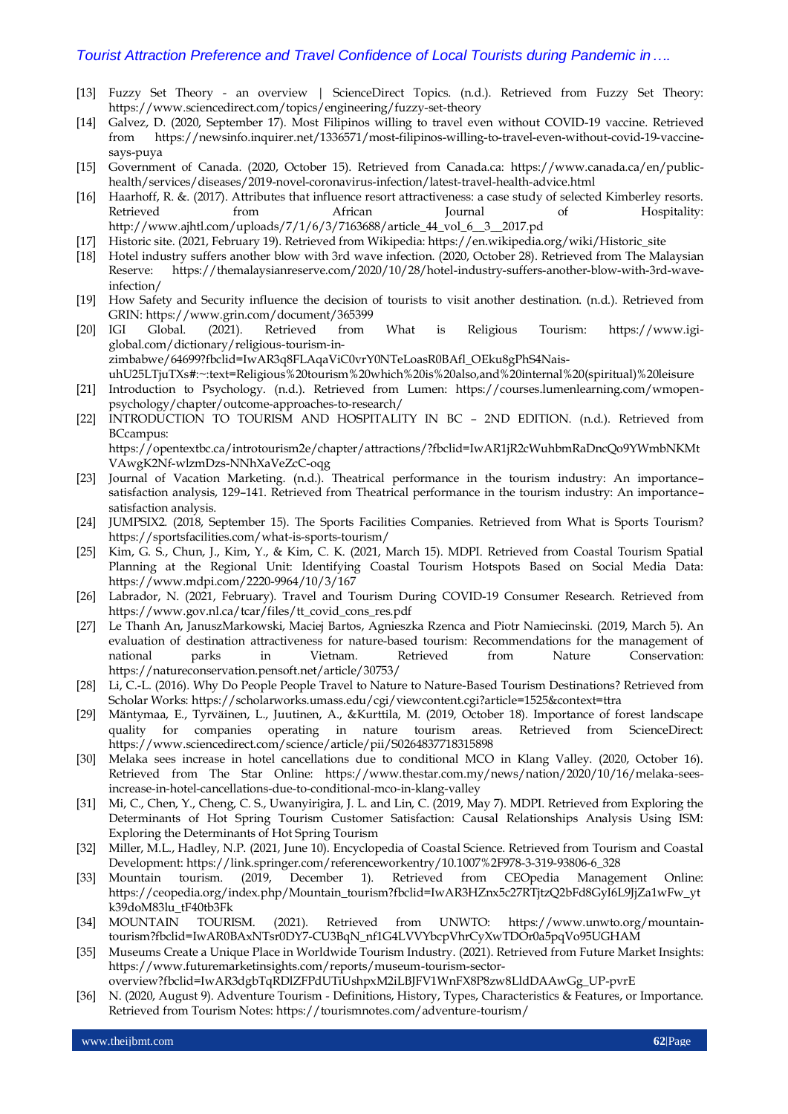- [13] Fuzzy Set Theory an overview | ScienceDirect Topics. (n.d.). Retrieved from Fuzzy Set Theory: https://www.sciencedirect.com/topics/engineering/fuzzy-set-theory
- [14] Galvez, D. (2020, September 17). Most Filipinos willing to travel even without COVID-19 vaccine. Retrieved from https://newsinfo.inquirer.net/1336571/most-filipinos-willing-to-travel-even-without-covid-19-vaccinesays-puya
- [15] Government of Canada. (2020, October 15). Retrieved from Canada.ca: https://www.canada.ca/en/publichealth/services/diseases/2019-novel-coronavirus-infection/latest-travel-health-advice.html
- [16] Haarhoff, R. &. (2017). Attributes that influence resort attractiveness: a case study of selected Kimberley resorts. Retrieved from African Journal of Hospitality: http://www.ajhtl.com/uploads/7/1/6/3/7163688/article\_44\_vol\_6\_\_3\_\_2017.pd
- [17] Historic site. (2021, February 19). Retrieved from Wikipedia: https://en.wikipedia.org/wiki/Historic\_site
- [18] Hotel industry suffers another blow with 3rd wave infection. (2020, October 28). Retrieved from The Malaysian Reserve: https://themalaysianreserve.com/2020/10/28/hotel-industry-suffers-another-blow-with-3rd-waveinfection/
- [19] How Safety and Security influence the decision of tourists to visit another destination. (n.d.). Retrieved from GRIN: https://www.grin.com/document/365399
- [20] IGI Global. (2021). Retrieved from What is Religious Tourism: https://www.igiglobal.com/dictionary/religious-tourism-inzimbabwe/64699?fbclid=IwAR3q8FLAqaViC0vrY0NTeLoasR0BAfl\_OEku8gPhS4NaisuhU25LTjuTXs#:~:text=Religious%20tourism%20which%20is%20also,and%20internal%20(spiritual)%20leisure
- [21] Introduction to Psychology. (n.d.). Retrieved from Lumen: https://courses.lumenlearning.com/wmopenpsychology/chapter/outcome-approaches-to-research/
- [22] INTRODUCTION TO TOURISM AND HOSPITALITY IN BC 2ND EDITION. (n.d.). Retrieved from BCcampus:

https://opentextbc.ca/introtourism2e/chapter/attractions/?fbclid=IwAR1jR2cWuhbmRaDncQo9YWmbNKMt VAwgK2Nf-wlzmDzs-NNhXaVeZcC-oqg

- [23] Journal of Vacation Marketing. (n.d.). Theatrical performance in the tourism industry: An importance– satisfaction analysis, 129–141. Retrieved from Theatrical performance in the tourism industry: An importance– satisfaction analysis.
- [24] JUMPSIX2. (2018, September 15). The Sports Facilities Companies. Retrieved from What is Sports Tourism? https://sportsfacilities.com/what-is-sports-tourism/
- [25] Kim, G. S., Chun, J., Kim, Y., & Kim, C. K. (2021, March 15). MDPI. Retrieved from Coastal Tourism Spatial Planning at the Regional Unit: Identifying Coastal Tourism Hotspots Based on Social Media Data: https://www.mdpi.com/2220-9964/10/3/167
- [26] Labrador, N. (2021, February). Travel and Tourism During COVID-19 Consumer Research. Retrieved from https://www.gov.nl.ca/tcar/files/tt\_covid\_cons\_res.pdf
- [27] Le Thanh An, JanuszMarkowski, Maciej Bartos, Agnieszka Rzenca and Piotr Namiecinski. (2019, March 5). An evaluation of destination attractiveness for nature-based tourism: Recommendations for the management of national parks in Vietnam. Retrieved from Nature Conservation: https://natureconservation.pensoft.net/article/30753/
- [28] Li, C.-L. (2016). Why Do People People Travel to Nature to Nature-Based Tourism Destinations? Retrieved from Scholar Works: https://scholarworks.umass.edu/cgi/viewcontent.cgi?article=1525&context=ttra
- [29] Mäntymaa, E., Tyrväinen, L., Juutinen, A., &Kurttila, M. (2019, October 18). Importance of forest landscape quality for companies operating in nature tourism areas. Retrieved from ScienceDirect: https://www.sciencedirect.com/science/article/pii/S0264837718315898
- [30] Melaka sees increase in hotel cancellations due to conditional MCO in Klang Valley. (2020, October 16). Retrieved from The Star Online: https://www.thestar.com.my/news/nation/2020/10/16/melaka-seesincrease-in-hotel-cancellations-due-to-conditional-mco-in-klang-valley
- [31] Mi, C., Chen, Y., Cheng, C. S., Uwanyirigira, J. L. and Lin, C. (2019, May 7). MDPI. Retrieved from Exploring the Determinants of Hot Spring Tourism Customer Satisfaction: Causal Relationships Analysis Using ISM: Exploring the Determinants of Hot Spring Tourism
- [32] Miller, M.L., Hadley, N.P. (2021, June 10). Encyclopedia of Coastal Science. Retrieved from Tourism and Coastal Development: https://link.springer.com/referenceworkentry/10.1007%2F978-3-319-93806-6\_328
- [33] Mountain tourism. (2019, December 1). Retrieved from CEOpedia Management Online: https://ceopedia.org/index.php/Mountain\_tourism?fbclid=IwAR3HZnx5c27RTjtzQ2bFd8GyI6L9JjZa1wFw\_yt k39doM83lu\_tF40tb3Fk
- [34] MOUNTAIN TOURISM. (2021). Retrieved from UNWTO: https://www.unwto.org/mountaintourism?fbclid=IwAR0BAxNTsr0DY7-CU3BqN\_nf1G4LVVYbcpVhrCyXwTDOr0a5pqVo95UGHAM
- [35] Museums Create a Unique Place in Worldwide Tourism Industry. (2021). Retrieved from Future Market Insights: https://www.futuremarketinsights.com/reports/museum-tourism-sector-
- overview?fbclid=IwAR3dgbTqRDlZFPdUTiUshpxM2iLBJFV1WnFX8P8zw8LldDAAwGg\_UP-pvrE
- [36] N. (2020, August 9). Adventure Tourism Definitions, History, Types, Characteristics & Features, or Importance. Retrieved from Tourism Notes: https://tourismnotes.com/adventure-tourism/